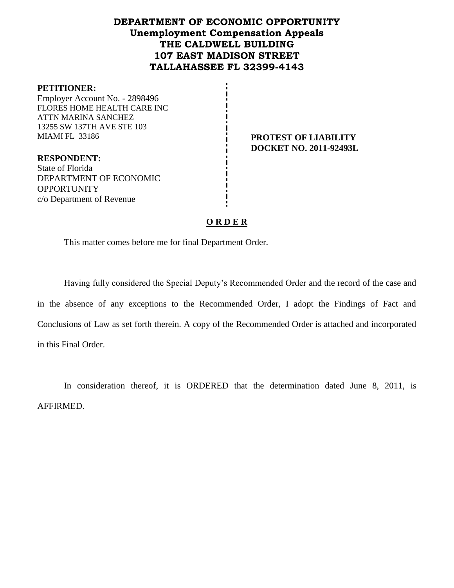# **DEPARTMENT OF ECONOMIC OPPORTUNITY Unemployment Compensation Appeals THE CALDWELL BUILDING 107 EAST MADISON STREET TALLAHASSEE FL 32399-4143**

#### **PETITIONER:**

Employer Account No. - 2898496 FLORES HOME HEALTH CARE INC ATTN MARINA SANCHEZ 13255 SW 137TH AVE STE 103 MIAMI FL 33186 **PROTEST OF LIABILITY**

**RESPONDENT:** State of Florida DEPARTMENT OF ECONOMIC **OPPORTUNITY** c/o Department of Revenue

**DOCKET NO. 2011-92493L**

## **O R D E R**

This matter comes before me for final Department Order.

Having fully considered the Special Deputy's Recommended Order and the record of the case and in the absence of any exceptions to the Recommended Order, I adopt the Findings of Fact and Conclusions of Law as set forth therein. A copy of the Recommended Order is attached and incorporated in this Final Order.

In consideration thereof, it is ORDERED that the determination dated June 8, 2011, is AFFIRMED.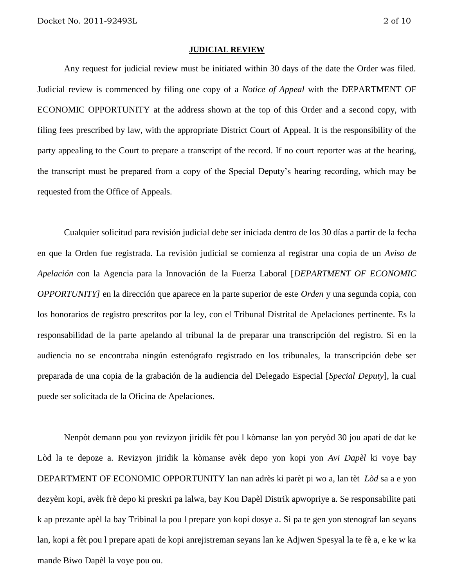#### **JUDICIAL REVIEW**

Any request for judicial review must be initiated within 30 days of the date the Order was filed. Judicial review is commenced by filing one copy of a *Notice of Appeal* with the DEPARTMENT OF ECONOMIC OPPORTUNITY at the address shown at the top of this Order and a second copy, with filing fees prescribed by law, with the appropriate District Court of Appeal. It is the responsibility of the party appealing to the Court to prepare a transcript of the record. If no court reporter was at the hearing, the transcript must be prepared from a copy of the Special Deputy's hearing recording, which may be requested from the Office of Appeals.

Cualquier solicitud para revisión judicial debe ser iniciada dentro de los 30 días a partir de la fecha en que la Orden fue registrada. La revisión judicial se comienza al registrar una copia de un *Aviso de Apelación* con la Agencia para la Innovación de la Fuerza Laboral [*DEPARTMENT OF ECONOMIC OPPORTUNITY]* en la dirección que aparece en la parte superior de este *Orden* y una segunda copia, con los honorarios de registro prescritos por la ley, con el Tribunal Distrital de Apelaciones pertinente. Es la responsabilidad de la parte apelando al tribunal la de preparar una transcripción del registro. Si en la audiencia no se encontraba ningún estenógrafo registrado en los tribunales, la transcripción debe ser preparada de una copia de la grabación de la audiencia del Delegado Especial [*Special Deputy*], la cual puede ser solicitada de la Oficina de Apelaciones.

Nenpòt demann pou yon revizyon jiridik fèt pou l kòmanse lan yon peryòd 30 jou apati de dat ke Lòd la te depoze a. Revizyon jiridik la kòmanse avèk depo yon kopi yon *Avi Dapèl* ki voye bay DEPARTMENT OF ECONOMIC OPPORTUNITY lan nan adrès ki parèt pi wo a, lan tèt *Lòd* sa a e yon dezyèm kopi, avèk frè depo ki preskri pa lalwa, bay Kou Dapèl Distrik apwopriye a. Se responsabilite pati k ap prezante apèl la bay Tribinal la pou l prepare yon kopi dosye a. Si pa te gen yon stenograf lan seyans lan, kopi a fèt pou l prepare apati de kopi anrejistreman seyans lan ke Adjwen Spesyal la te fè a, e ke w ka mande Biwo Dapèl la voye pou ou.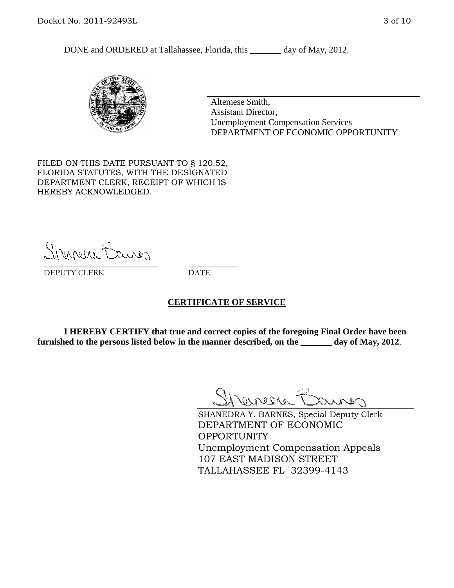DONE and ORDERED at Tallahassee, Florida, this day of May, 2012.



Altemese Smith, Assistant Director, Unemployment Compensation Services DEPARTMENT OF ECONOMIC OPPORTUNITY

FILED ON THIS DATE PURSUANT TO § 120.52, FLORIDA STATUTES, WITH THE DESIGNATED DEPARTMENT CLERK, RECEIPT OF WHICH IS HEREBY ACKNOWLEDGED.

Shemere Banner \_\_\_\_\_\_\_\_\_\_\_\_\_\_\_\_\_\_\_\_\_\_\_\_\_\_\_\_ \_\_\_\_\_\_\_\_\_\_\_\_

DEPUTY CLERK DATE

#### **CERTIFICATE OF SERVICE**

**I HEREBY CERTIFY that true and correct copies of the foregoing Final Order have been furnished to the persons listed below in the manner described, on the \_\_\_\_\_\_\_ day of May, 2012**.

Shaner Barnes

SHANEDRA Y. BARNES, Special Deputy Clerk DEPARTMENT OF ECONOMIC OPPORTUNITY Unemployment Compensation Appeals 107 EAST MADISON STREET TALLAHASSEE FL 32399-4143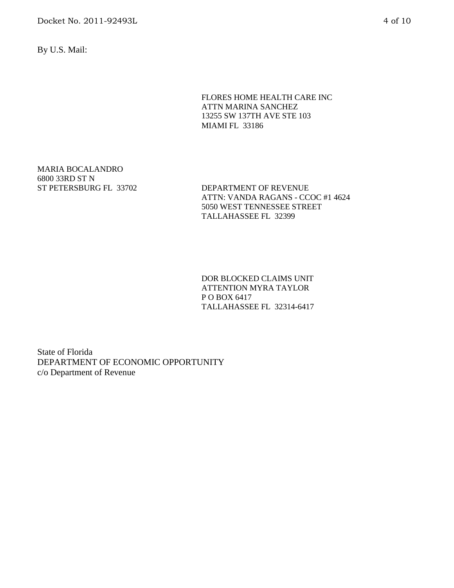Docket No. 2011-92493L 4 of 10

By U.S. Mail:

FLORES HOME HEALTH CARE INC ATTN MARINA SANCHEZ 13255 SW 137TH AVE STE 103 MIAMI FL 33186

MARIA BOCALANDRO 6800 33RD ST N

ST PETERSBURG FL 33702 DEPARTMENT OF REVENUE ATTN: VANDA RAGANS - CCOC #1 4624 5050 WEST TENNESSEE STREET TALLAHASSEE FL 32399

> DOR BLOCKED CLAIMS UNIT ATTENTION MYRA TAYLOR P O BOX 6417 TALLAHASSEE FL 32314-6417

State of Florida DEPARTMENT OF ECONOMIC OPPORTUNITY c/o Department of Revenue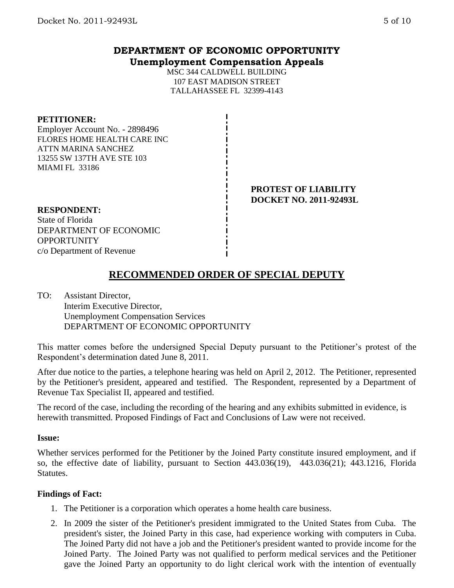# **DEPARTMENT OF ECONOMIC OPPORTUNITY Unemployment Compensation Appeals**

MSC 344 CALDWELL BUILDING 107 EAST MADISON STREET TALLAHASSEE FL 32399-4143

#### **PETITIONER:**

Employer Account No. - 2898496 FLORES HOME HEALTH CARE INC ATTN MARINA SANCHEZ 13255 SW 137TH AVE STE 103 MIAMI FL 33186

> **PROTEST OF LIABILITY DOCKET NO. 2011-92493L**

#### **RESPONDENT:**

State of Florida DEPARTMENT OF ECONOMIC **OPPORTUNITY** c/o Department of Revenue

# **RECOMMENDED ORDER OF SPECIAL DEPUTY**

TO: Assistant Director, Interim Executive Director, Unemployment Compensation Services DEPARTMENT OF ECONOMIC OPPORTUNITY

This matter comes before the undersigned Special Deputy pursuant to the Petitioner's protest of the Respondent's determination dated June 8, 2011.

After due notice to the parties, a telephone hearing was held on April 2, 2012. The Petitioner, represented by the Petitioner's president, appeared and testified. The Respondent, represented by a Department of Revenue Tax Specialist II, appeared and testified.

The record of the case, including the recording of the hearing and any exhibits submitted in evidence, is herewith transmitted. Proposed Findings of Fact and Conclusions of Law were not received.

## **Issue:**

Whether services performed for the Petitioner by the Joined Party constitute insured employment, and if so, the effective date of liability, pursuant to Section 443.036(19), 443.036(21); 443.1216, Florida Statutes.

## **Findings of Fact:**

- 1. The Petitioner is a corporation which operates a home health care business.
- 2. In 2009 the sister of the Petitioner's president immigrated to the United States from Cuba. The president's sister, the Joined Party in this case, had experience working with computers in Cuba. The Joined Party did not have a job and the Petitioner's president wanted to provide income for the Joined Party. The Joined Party was not qualified to perform medical services and the Petitioner gave the Joined Party an opportunity to do light clerical work with the intention of eventually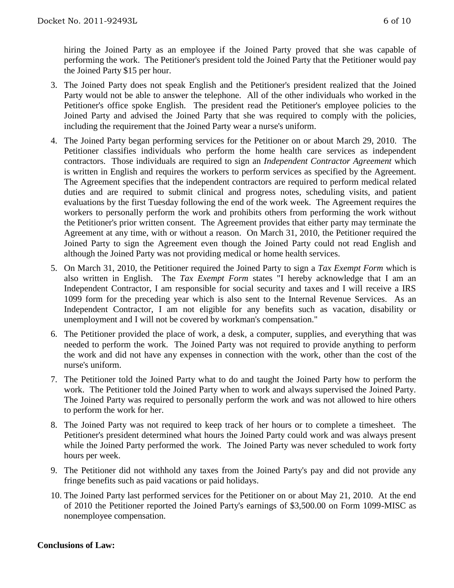hiring the Joined Party as an employee if the Joined Party proved that she was capable of performing the work. The Petitioner's president told the Joined Party that the Petitioner would pay the Joined Party \$15 per hour.

- 3. The Joined Party does not speak English and the Petitioner's president realized that the Joined Party would not be able to answer the telephone. All of the other individuals who worked in the Petitioner's office spoke English. The president read the Petitioner's employee policies to the Joined Party and advised the Joined Party that she was required to comply with the policies, including the requirement that the Joined Party wear a nurse's uniform.
- 4. The Joined Party began performing services for the Petitioner on or about March 29, 2010. The Petitioner classifies individuals who perform the home health care services as independent contractors. Those individuals are required to sign an *Independent Contractor Agreement* which is written in English and requires the workers to perform services as specified by the Agreement. The Agreement specifies that the independent contractors are required to perform medical related duties and are required to submit clinical and progress notes, scheduling visits, and patient evaluations by the first Tuesday following the end of the work week. The Agreement requires the workers to personally perform the work and prohibits others from performing the work without the Petitioner's prior written consent. The Agreement provides that either party may terminate the Agreement at any time, with or without a reason. On March 31, 2010, the Petitioner required the Joined Party to sign the Agreement even though the Joined Party could not read English and although the Joined Party was not providing medical or home health services.
- 5. On March 31, 2010, the Petitioner required the Joined Party to sign a *Tax Exempt Form* which is also written in English. The *Tax Exempt Form* states "I hereby acknowledge that I am an Independent Contractor, I am responsible for social security and taxes and I will receive a IRS 1099 form for the preceding year which is also sent to the Internal Revenue Services. As an Independent Contractor, I am not eligible for any benefits such as vacation, disability or unemployment and I will not be covered by workman's compensation."
- 6. The Petitioner provided the place of work, a desk, a computer, supplies, and everything that was needed to perform the work. The Joined Party was not required to provide anything to perform the work and did not have any expenses in connection with the work, other than the cost of the nurse's uniform.
- 7. The Petitioner told the Joined Party what to do and taught the Joined Party how to perform the work. The Petitioner told the Joined Party when to work and always supervised the Joined Party. The Joined Party was required to personally perform the work and was not allowed to hire others to perform the work for her.
- 8. The Joined Party was not required to keep track of her hours or to complete a timesheet. The Petitioner's president determined what hours the Joined Party could work and was always present while the Joined Party performed the work. The Joined Party was never scheduled to work forty hours per week.
- 9. The Petitioner did not withhold any taxes from the Joined Party's pay and did not provide any fringe benefits such as paid vacations or paid holidays.
- 10. The Joined Party last performed services for the Petitioner on or about May 21, 2010. At the end of 2010 the Petitioner reported the Joined Party's earnings of \$3,500.00 on Form 1099-MISC as nonemployee compensation.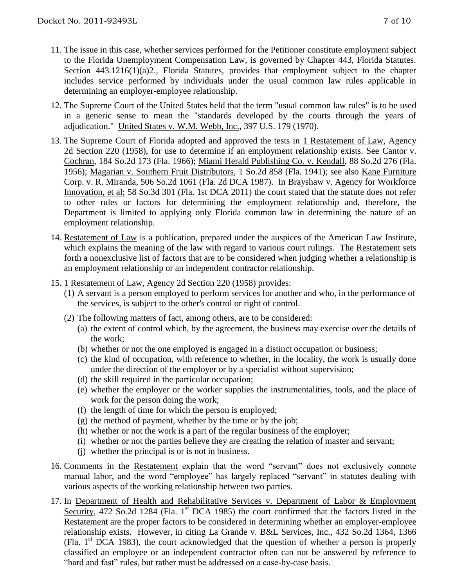- 11. The issue in this case, whether services performed for the Petitioner constitute employment subject to the Florida Unemployment Compensation Law, is governed by Chapter 443, Florida Statutes. Section 443.1216(1)(a)2., Florida Statutes, provides that employment subject to the chapter includes service performed by individuals under the usual common law rules applicable in determining an employer-employee relationship.
- 12. The Supreme Court of the United States held that the term "usual common law rules" is to be used in a generic sense to mean the "standards developed by the courts through the years of adjudication." United States v. W.M. Webb, Inc., 397 U.S. 179 (1970).
- 13. The Supreme Court of Florida adopted and approved the tests in 1 Restatement of Law, Agency 2d Section 220 (1958), for use to determine if an employment relationship exists. See Cantor v. Cochran, 184 So.2d 173 (Fla. 1966); Miami Herald Publishing Co. v. Kendall, 88 So.2d 276 (Fla. 1956); Magarian v. Southern Fruit Distributors, 1 So.2d 858 (Fla. 1941); see also Kane Furniture Corp. v. R. Miranda, 506 So.2d 1061 (Fla. 2d DCA 1987). In Brayshaw v. Agency for Workforce Innovation, et al; 58 So.3d 301 (Fla. 1st DCA 2011) the court stated that the statute does not refer to other rules or factors for determining the employment relationship and, therefore, the Department is limited to applying only Florida common law in determining the nature of an employment relationship.
- 14. Restatement of Law is a publication, prepared under the auspices of the American Law Institute, which explains the meaning of the law with regard to various court rulings. The Restatement sets forth a nonexclusive list of factors that are to be considered when judging whether a relationship is an employment relationship or an independent contractor relationship.
- 15. 1 Restatement of Law, Agency 2d Section 220 (1958) provides:
	- (1) A servant is a person employed to perform services for another and who, in the performance of the services, is subject to the other's control or right of control.
	- (2) The following matters of fact, among others, are to be considered:
		- (a) the extent of control which, by the agreement, the business may exercise over the details of the work;
		- (b) whether or not the one employed is engaged in a distinct occupation or business;
		- (c) the kind of occupation, with reference to whether, in the locality, the work is usually done under the direction of the employer or by a specialist without supervision;
		- (d) the skill required in the particular occupation;
		- (e) whether the employer or the worker supplies the instrumentalities, tools, and the place of work for the person doing the work;
		- (f) the length of time for which the person is employed;
		- $(g)$  the method of payment, whether by the time or by the job;
		- (h) whether or not the work is a part of the regular business of the employer;
		- (i) whether or not the parties believe they are creating the relation of master and servant;
		- (j) whether the principal is or is not in business.
- 16. Comments in the Restatement explain that the word "servant" does not exclusively connote manual labor, and the word "employee" has largely replaced "servant" in statutes dealing with various aspects of the working relationship between two parties.
- 17. In Department of Health and Rehabilitative Services v. Department of Labor & Employment Security, 472 So.2d 1284 (Fla. 1<sup>st</sup> DCA 1985) the court confirmed that the factors listed in the Restatement are the proper factors to be considered in determining whether an employer-employee relationship exists. However, in citing La Grande v. B&L Services, Inc., 432 So.2d 1364, 1366 (Fla.  $1<sup>st</sup> DCA$  1983), the court acknowledged that the question of whether a person is properly classified an employee or an independent contractor often can not be answered by reference to "hard and fast" rules, but rather must be addressed on a case-by-case basis.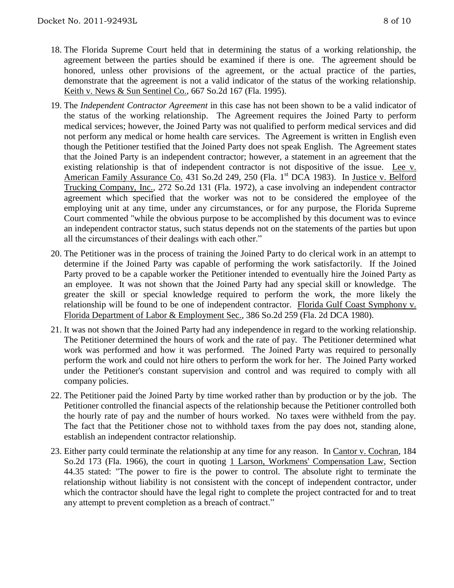- 18. The Florida Supreme Court held that in determining the status of a working relationship, the agreement between the parties should be examined if there is one. The agreement should be honored, unless other provisions of the agreement, or the actual practice of the parties, demonstrate that the agreement is not a valid indicator of the status of the working relationship. Keith v. News & Sun Sentinel Co., 667 So.2d 167 (Fla. 1995).
- 19. The *Independent Contractor Agreement* in this case has not been shown to be a valid indicator of the status of the working relationship. The Agreement requires the Joined Party to perform medical services; however, the Joined Party was not qualified to perform medical services and did not perform any medical or home health care services. The Agreement is written in English even though the Petitioner testified that the Joined Party does not speak English. The Agreement states that the Joined Party is an independent contractor; however, a statement in an agreement that the existing relationship is that of independent contractor is not dispositive of the issue. Lee v. American Family Assurance Co. 431 So.2d 249, 250 (Fla. 1<sup>st</sup> DCA 1983). In Justice v. Belford Trucking Company, Inc., 272 So.2d 131 (Fla. 1972), a case involving an independent contractor agreement which specified that the worker was not to be considered the employee of the employing unit at any time, under any circumstances, or for any purpose, the Florida Supreme Court commented "while the obvious purpose to be accomplished by this document was to evince an independent contractor status, such status depends not on the statements of the parties but upon all the circumstances of their dealings with each other."
- 20. The Petitioner was in the process of training the Joined Party to do clerical work in an attempt to determine if the Joined Party was capable of performing the work satisfactorily. If the Joined Party proved to be a capable worker the Petitioner intended to eventually hire the Joined Party as an employee. It was not shown that the Joined Party had any special skill or knowledge. The greater the skill or special knowledge required to perform the work, the more likely the relationship will be found to be one of independent contractor. Florida Gulf Coast Symphony v. Florida Department of Labor & Employment Sec., 386 So.2d 259 (Fla. 2d DCA 1980).
- 21. It was not shown that the Joined Party had any independence in regard to the working relationship. The Petitioner determined the hours of work and the rate of pay. The Petitioner determined what work was performed and how it was performed. The Joined Party was required to personally perform the work and could not hire others to perform the work for her. The Joined Party worked under the Petitioner's constant supervision and control and was required to comply with all company policies.
- 22. The Petitioner paid the Joined Party by time worked rather than by production or by the job. The Petitioner controlled the financial aspects of the relationship because the Petitioner controlled both the hourly rate of pay and the number of hours worked. No taxes were withheld from the pay. The fact that the Petitioner chose not to withhold taxes from the pay does not, standing alone, establish an independent contractor relationship.
- 23. Either party could terminate the relationship at any time for any reason. In Cantor v. Cochran, 184 So.2d 173 (Fla. 1966), the court in quoting 1 Larson, Workmens' Compensation Law, Section 44.35 stated: "The power to fire is the power to control. The absolute right to terminate the relationship without liability is not consistent with the concept of independent contractor, under which the contractor should have the legal right to complete the project contracted for and to treat any attempt to prevent completion as a breach of contract."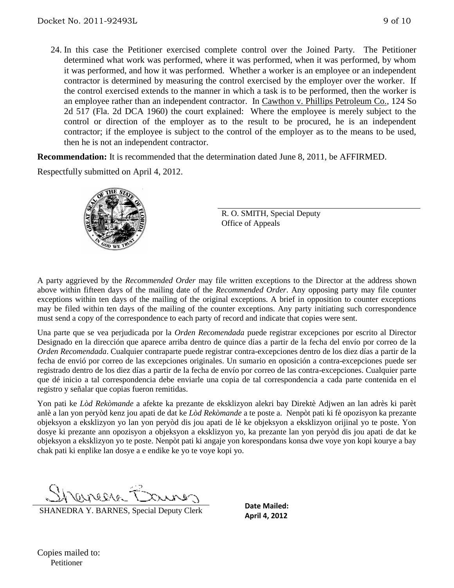24. In this case the Petitioner exercised complete control over the Joined Party. The Petitioner determined what work was performed, where it was performed, when it was performed, by whom it was performed, and how it was performed. Whether a worker is an employee or an independent contractor is determined by measuring the control exercised by the employer over the worker. If the control exercised extends to the manner in which a task is to be performed, then the worker is an employee rather than an independent contractor. In Cawthon v. Phillips Petroleum Co., 124 So 2d 517 (Fla. 2d DCA 1960) the court explained: Where the employee is merely subject to the control or direction of the employer as to the result to be procured, he is an independent contractor; if the employee is subject to the control of the employer as to the means to be used, then he is not an independent contractor.

**Recommendation:** It is recommended that the determination dated June 8, 2011, be AFFIRMED. Respectfully submitted on April 4, 2012.



R. O. SMITH, Special Deputy Office of Appeals

A party aggrieved by the *Recommended Order* may file written exceptions to the Director at the address shown above within fifteen days of the mailing date of the *Recommended Order*. Any opposing party may file counter exceptions within ten days of the mailing of the original exceptions. A brief in opposition to counter exceptions may be filed within ten days of the mailing of the counter exceptions. Any party initiating such correspondence must send a copy of the correspondence to each party of record and indicate that copies were sent.

Una parte que se vea perjudicada por la *Orden Recomendada* puede registrar excepciones por escrito al Director Designado en la dirección que aparece arriba dentro de quince días a partir de la fecha del envío por correo de la *Orden Recomendada*. Cualquier contraparte puede registrar contra-excepciones dentro de los diez días a partir de la fecha de envió por correo de las excepciones originales. Un sumario en oposición a contra-excepciones puede ser registrado dentro de los diez días a partir de la fecha de envío por correo de las contra-excepciones. Cualquier parte que dé inicio a tal correspondencia debe enviarle una copia de tal correspondencia a cada parte contenida en el registro y señalar que copias fueron remitidas.

Yon pati ke *Lòd Rekòmande* a afekte ka prezante de eksklizyon alekri bay Direktè Adjwen an lan adrès ki parèt anlè a lan yon peryòd kenz jou apati de dat ke *Lòd Rekòmande* a te poste a. Nenpòt pati ki fè opozisyon ka prezante objeksyon a eksklizyon yo lan yon peryòd dis jou apati de lè ke objeksyon a eksklizyon orijinal yo te poste. Yon dosye ki prezante ann opozisyon a objeksyon a eksklizyon yo, ka prezante lan yon peryòd dis jou apati de dat ke objeksyon a eksklizyon yo te poste. Nenpòt pati ki angaje yon korespondans konsa dwe voye yon kopi kourye a bay chak pati ki enplike lan dosye a e endike ke yo te voye kopi yo.

CLIPPEAR -

SHANEDRA Y. BARNES, Special Deputy Clerk

**Date Mailed: April 4, 2012**

Copies mailed to: Petitioner